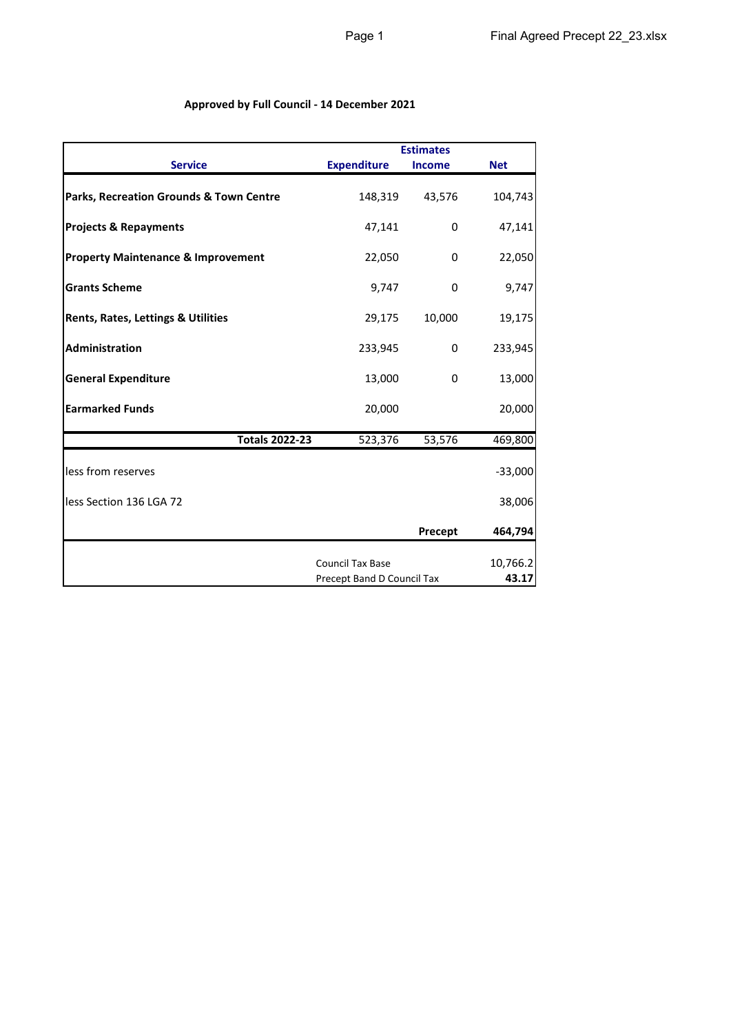## **Approved by Full Council - 14 December 2021**

|                                                    |                            | <b>Estimates</b> |            |
|----------------------------------------------------|----------------------------|------------------|------------|
| <b>Service</b>                                     | <b>Expenditure</b>         | <b>Income</b>    | <b>Net</b> |
| <b>Parks, Recreation Grounds &amp; Town Centre</b> | 148,319                    | 43,576           | 104,743    |
| <b>Projects &amp; Repayments</b>                   | 47,141                     | 0                | 47,141     |
| <b>Property Maintenance &amp; Improvement</b>      | 22,050                     | 0                | 22,050     |
| <b>Grants Scheme</b>                               | 9,747                      | 0                | 9,747      |
| <b>Rents, Rates, Lettings &amp; Utilities</b>      | 29,175                     | 10,000           | 19,175     |
| <b>Administration</b>                              | 233,945                    | 0                | 233,945    |
| <b>General Expenditure</b>                         | 13,000                     | 0                | 13,000     |
| <b>Earmarked Funds</b>                             | 20,000                     |                  | 20,000     |
| <b>Totals 2022-23</b>                              | 523, 376                   | 53,576           | 469,800    |
| less from reserves                                 |                            |                  | $-33,000$  |
| less Section 136 LGA 72                            |                            |                  | 38,006     |
|                                                    |                            | Precept          | 464,794    |
|                                                    | <b>Council Tax Base</b>    |                  | 10,766.2   |
|                                                    | Precept Band D Council Tax |                  | 43.17      |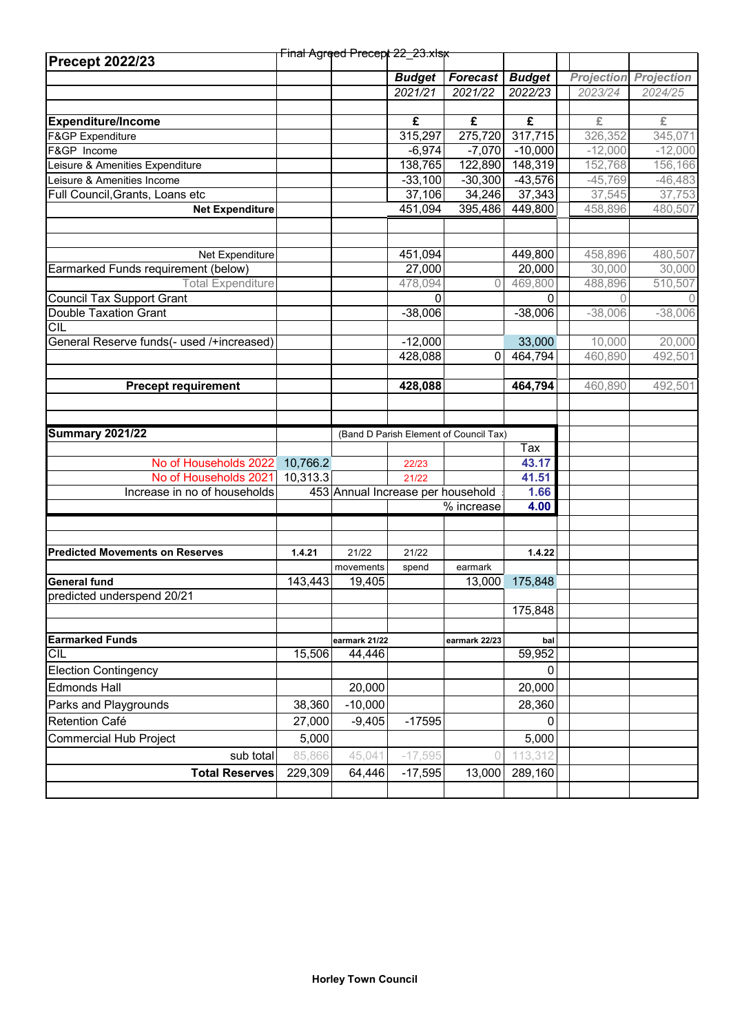| <b>Precept 2022/23</b>                                          |          | Final Agreed Precept 22_23.xlsx   |               |                                        |               |                   |                   |
|-----------------------------------------------------------------|----------|-----------------------------------|---------------|----------------------------------------|---------------|-------------------|-------------------|
|                                                                 |          |                                   |               |                                        |               |                   |                   |
|                                                                 |          |                                   | <b>Budget</b> | <b>Forecast</b>                        | <b>Budget</b> | <b>Projection</b> | <b>Projection</b> |
|                                                                 |          |                                   | 2021/21       | 2021/22                                | 2022/23       | 2023/24           | 2024/25           |
|                                                                 |          |                                   |               |                                        |               |                   |                   |
| <b>Expenditure/Income</b>                                       |          |                                   | £             | £                                      | £             | £                 | £                 |
| F&GP Expenditure                                                |          |                                   | 315,297       | 275,720                                | 317,715       | 326,352           | 345,071           |
| F&GP Income                                                     |          |                                   | $-6,974$      | $-7,070$                               | $-10,000$     | $-12,000$         | $-12,000$         |
| Leisure & Amenities Expenditure                                 |          |                                   | 138,765       | 122,890                                | 148,319       | 152,768           | 156,166           |
| Leisure & Amenities Income                                      |          |                                   | $-33,100$     | $-30,300$                              | $-43,576$     | $-45,769$         | $-46,483$         |
| Full Council, Grants, Loans etc                                 |          |                                   | 37,106        | 34,246                                 | 37,343        | 37,545            | 37,753            |
| <b>Net Expenditure</b>                                          |          |                                   | 451,094       | 395,486                                | 449,800       | 458,896           | 480,507           |
|                                                                 |          |                                   |               |                                        |               |                   |                   |
| Net Expenditure                                                 |          |                                   | 451,094       |                                        | 449,800       | 458,896           | 480,507           |
|                                                                 |          |                                   | 27,000        |                                        | 20,000        | 30,000            |                   |
| Earmarked Funds requirement (below)<br><b>Total Expenditure</b> |          |                                   | 478,094       | 0                                      | 469,800       | 488,896           | 30,000            |
| <b>Council Tax Support Grant</b>                                |          |                                   | 0             |                                        |               | 0                 | 510,507           |
|                                                                 |          |                                   |               |                                        | 0             |                   | $-38,006$         |
| Double Taxation Grant<br><b>CIL</b>                             |          |                                   | $-38,006$     |                                        | $-38,006$     | $-38,006$         |                   |
| General Reserve funds(- used /+increased)                       |          |                                   | $-12,000$     |                                        | 33,000        | 10,000            | 20,000            |
|                                                                 |          |                                   | 428,088       | 0                                      | 464,794       | 460,890           | 492,501           |
|                                                                 |          |                                   |               |                                        |               |                   |                   |
| <b>Precept requirement</b>                                      |          |                                   | 428,088       |                                        | 464,794       | 460,890           | 492,501           |
|                                                                 |          |                                   |               |                                        |               |                   |                   |
|                                                                 |          |                                   |               |                                        |               |                   |                   |
|                                                                 |          |                                   |               |                                        |               |                   |                   |
| <b>Summary 2021/22</b>                                          |          |                                   |               | (Band D Parish Element of Council Tax) |               |                   |                   |
|                                                                 |          |                                   |               |                                        | Tax           |                   |                   |
| No of Households 2022                                           | 10,766.2 |                                   | 22/23         |                                        | 43.17         |                   |                   |
| No of Households 2021                                           | 10,313.3 |                                   | 21/22         |                                        | 41.51         |                   |                   |
| Increase in no of households                                    |          | 453 Annual Increase per household |               |                                        | 1.66          |                   |                   |
|                                                                 |          |                                   |               |                                        |               |                   |                   |
|                                                                 |          |                                   |               | % increase                             | 4.00          |                   |                   |
|                                                                 |          |                                   |               |                                        |               |                   |                   |
|                                                                 |          | 21/22                             | 21/22         |                                        | 1.4.22        |                   |                   |
| <b>Predicted Movements on Reserves</b>                          | 1.4.21   | movements                         |               |                                        |               |                   |                   |
| <b>General fund</b>                                             |          |                                   | spend         | earmark                                |               |                   |                   |
| predicted underspend 20/21                                      | 143,443  | 19,405                            |               | 13,000                                 | 175,848       |                   |                   |
|                                                                 |          |                                   |               |                                        | 175,848       |                   |                   |
|                                                                 |          |                                   |               |                                        |               |                   |                   |
| <b>Earmarked Funds</b>                                          |          | earmark 21/22                     |               | earmark 22/23                          | bal           |                   |                   |
| <b>CIL</b>                                                      | 15,506   | 44,446                            |               |                                        | 59,952        |                   |                   |
| <b>Election Contingency</b>                                     |          |                                   |               |                                        | 0             |                   |                   |
| <b>Edmonds Hall</b>                                             |          | 20,000                            |               |                                        | 20,000        |                   |                   |
| Parks and Playgrounds                                           | 38,360   | $-10,000$                         |               |                                        | 28,360        |                   |                   |
| Retention Café                                                  | 27,000   | $-9,405$                          | $-17595$      |                                        | 0             |                   |                   |
| <b>Commercial Hub Project</b>                                   | 5,000    |                                   |               |                                        | 5,000         |                   |                   |
| sub total                                                       | 85,866   | 45,041                            | $-17,595$     |                                        | 113,312       |                   |                   |
| <b>Total Reserves</b>                                           | 229,309  | 64,446                            | $-17,595$     | 13,000                                 | 289,160       |                   |                   |
|                                                                 |          |                                   |               |                                        |               |                   |                   |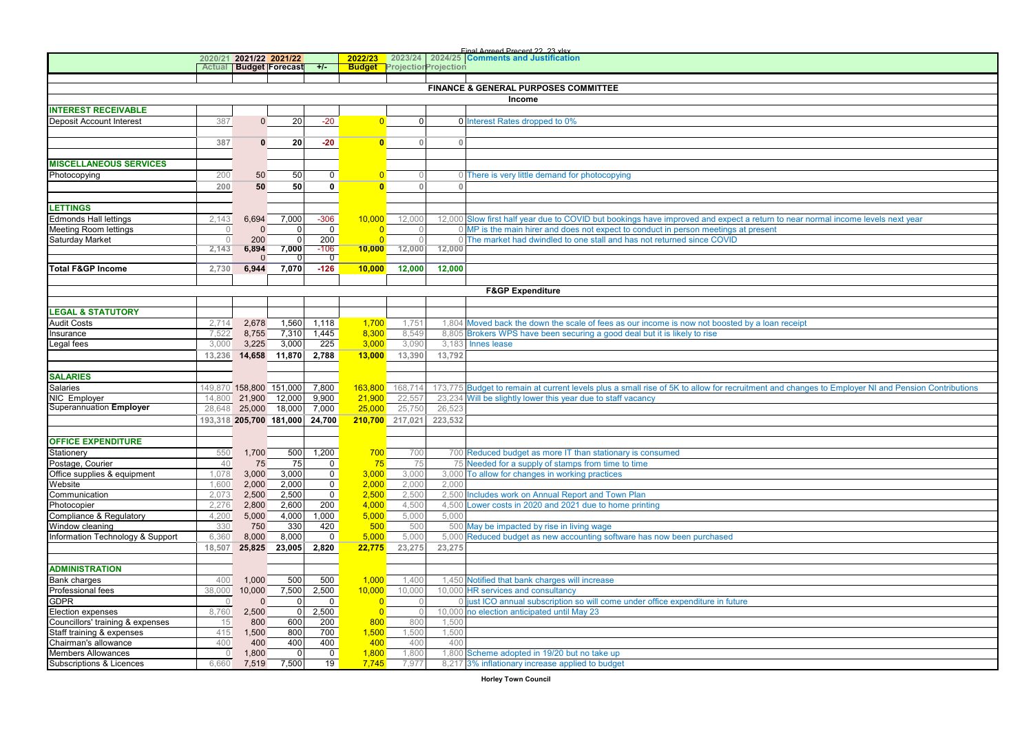|                                  |              |              |                                |                |                |                 |                             | Einal Agreed Precent 22, 23 view                                                                                                                 |
|----------------------------------|--------------|--------------|--------------------------------|----------------|----------------|-----------------|-----------------------------|--------------------------------------------------------------------------------------------------------------------------------------------------|
|                                  |              |              | 2020/21 2021/22 2021/22        |                | 2022/23        | 2023/24         |                             | 2024/25 Comments and Justification                                                                                                               |
|                                  |              |              | <b>Actual Budget Forecast</b>  | $+/-$          | <b>Budget</b>  |                 | <b>ProjectiorProjection</b> |                                                                                                                                                  |
|                                  |              |              |                                |                |                |                 |                             |                                                                                                                                                  |
|                                  |              |              |                                |                |                |                 |                             | <b>FINANCE &amp; GENERAL PURPOSES COMMITTEE</b>                                                                                                  |
|                                  |              |              |                                |                |                |                 |                             | Income                                                                                                                                           |
| <b>INTEREST RECEIVABLE</b>       |              |              |                                |                |                |                 |                             |                                                                                                                                                  |
| Deposit Account Interest         | 387          | $\mathbf{0}$ | 20                             | $-20$          | $\overline{0}$ | $\overline{0}$  |                             | 0 Interest Rates dropped to 0%                                                                                                                   |
|                                  |              |              |                                |                |                |                 |                             |                                                                                                                                                  |
|                                  | 387          | $\mathbf 0$  | 20                             | $-20$          | $\bullet$      | $\mathbb O$     | $\mathbb O$                 |                                                                                                                                                  |
|                                  |              |              |                                |                |                |                 |                             |                                                                                                                                                  |
| <b>MISCELLANEOUS SERVICES</b>    |              |              |                                |                |                |                 |                             |                                                                                                                                                  |
| Photocopying                     | 200          | 50           | 50                             | $\mathbf 0$    | $\overline{0}$ | $\circ$         |                             | 0 There is very little demand for photocopying                                                                                                   |
|                                  | 200          | 50           | 50                             | 0              | $\overline{0}$ | $\mathbb O$     | $\Omega$                    |                                                                                                                                                  |
|                                  |              |              |                                |                |                |                 |                             |                                                                                                                                                  |
| <b>LETTINGS</b>                  |              |              |                                |                |                |                 |                             |                                                                                                                                                  |
| Edmonds Hall lettings            | 2,143        | 6,694        | 7,000                          | $-306$         | 10,000         | 12,000          |                             | 12,000 Slow first half year due to COVID but bookings have improved and expect a return to near normal income levels next year                   |
| Meeting Room lettings            | $\circ$      | $\Omega$     | $\mathbf{0}$                   | $\mathbf 0$    | $\Omega$       | $\overline{0}$  |                             | 0 MP is the main hirer and does not expect to conduct in person meetings at present                                                              |
| Saturday Market                  | $\Omega$     | 200          | $\Omega$                       | 200            | $\Omega$       | $\Omega$        |                             | 0 The market had dwindled to one stall and has not returned since COVID                                                                          |
|                                  | 2,143        | 6,894        | 7,000                          | -106           | 10,000         | 12,000          | 12,000                      |                                                                                                                                                  |
|                                  |              | $\Omega$     | 0                              | $\overline{0}$ |                |                 |                             |                                                                                                                                                  |
| <b>Total F&amp;GP Income</b>     | 2,730        | 6,944        | 7,070                          | $-126$         | 10,000         | 12,000          | 12,000                      |                                                                                                                                                  |
|                                  |              |              |                                |                |                |                 |                             |                                                                                                                                                  |
|                                  |              |              |                                |                |                |                 |                             | <b>F&amp;GP Expenditure</b>                                                                                                                      |
|                                  |              |              |                                |                |                |                 |                             |                                                                                                                                                  |
| <b>LEGAL &amp; STATUTORY</b>     |              |              |                                |                |                |                 |                             |                                                                                                                                                  |
| <b>Audit Costs</b>               | 2,714        | 2,678        | 1,560                          | 1,118          | 1,700          | 1,751           |                             | 1,804 Moved back the down the scale of fees as our income is now not boosted by a loan receipt                                                   |
| Insurance                        | 7,522        | 8,755        | 7,310                          | 1,445          | 8,300          | 8,549           |                             | 8,805 Brokers WPS have been securing a good deal but it is likely to rise                                                                        |
| egal fees                        | 3,000        | 3,225        | 3,000                          | 225            | 3,000          | 3,090           |                             | 3,183 Innes lease                                                                                                                                |
|                                  | 13,236       |              | 14,658 11,870                  | 2,788          | 13,000         | 13,390          | 13,792                      |                                                                                                                                                  |
|                                  |              |              |                                |                |                |                 |                             |                                                                                                                                                  |
| <b>SALARIES</b>                  |              |              |                                |                |                |                 |                             |                                                                                                                                                  |
| Salaries                         |              |              | 149,870 158,800 151,000        | 7,800          | 163,800        | 168,714         |                             | 173,775 Budget to remain at current levels plus a small rise of 5K to allow for recruitment and changes to Employer NI and Pension Contributions |
| NIC Employer                     | 14,800       | 21,900       | 12,000                         | 9,900          | 21,900         | 22,557          |                             | 23,234 Will be slightly lower this year due to staff vacancy                                                                                     |
| Superannuation Employer          |              |              | 28,648 25,000 18,000           | 7,000          | 25,000         | 25,750          | 26,523                      |                                                                                                                                                  |
|                                  |              |              | 193,318 205,700 181,000 24,700 |                |                | 210,700 217,021 | 223,532                     |                                                                                                                                                  |
|                                  |              |              |                                |                |                |                 |                             |                                                                                                                                                  |
| <b>OFFICE EXPENDITURE</b>        |              |              |                                |                |                |                 |                             |                                                                                                                                                  |
| Stationery                       | 550          | 1,700        | 500                            | 1,200          | 700            | 700             |                             | 700 Reduced budget as more IT than stationary is consumed                                                                                        |
| Postage, Courier                 | 40           | 75           | 75                             | $\mathbf 0$    | 75             | 75              |                             | 75 Needed for a supply of stamps from time to time                                                                                               |
| Office supplies & equipment      | 1,078        | 3,000        | 3,000                          | $\overline{0}$ | 3,000          | 3,000           |                             | 3,000 To allow for changes in working practices                                                                                                  |
| Website                          | 1,600        | 2,000        | 2,000                          | $\mathbf 0$    | 2,000          | 2,000           | 2.000                       |                                                                                                                                                  |
| Communication                    | 2,073        | 2,500        | 2,500                          | $\mathbf 0$    | 2,500          | 2,500           |                             | 2,500 Includes work on Annual Report and Town Plan                                                                                               |
| Photocopier                      | 2.276        | 2,800        | 2,600                          | 200            | 4,000          | 4.500           |                             | 4,500 Lower costs in 2020 and 2021 due to home printing                                                                                          |
| Compliance & Regulatory          | 4,200        | 5,000        | 4,000                          | 1,000          | 5,000          | 5,000           | 5,000                       |                                                                                                                                                  |
| Window cleaning                  | 330          | 750          | 330                            | 420            | 500            | 500             |                             | 500 May be impacted by rise in living wage                                                                                                       |
| Information Technology & Support | 6,360        | 8,000        | 8,000                          | $\mathbf 0$    | 5,000          | 5,000           |                             | 5,000 Reduced budget as new accounting software has now been purchased                                                                           |
|                                  | 18,507       |              | 25,825 23,005                  | 2,820          | 22,775         | 23,275          | 23,275                      |                                                                                                                                                  |
|                                  |              |              |                                |                |                |                 |                             |                                                                                                                                                  |
| <b>ADMINISTRATION</b>            |              |              |                                |                |                |                 |                             |                                                                                                                                                  |
| <b>Bank charges</b>              | 400          | 1,000        | 500                            | 500            | 1,000          | 1,400           |                             | 1,450 Notified that bank charges will increase                                                                                                   |
| Professional fees                | 38,000       | 10,000       | 7,500                          | 2,500          | 10,000         | 10,000          |                             | 10,000 HR services and consultancy                                                                                                               |
| <b>GDPR</b>                      | $\circ$      | $\Omega$     | $\overline{0}$                 | $\mathbf 0$    | $\Omega$       | $\overline{0}$  |                             | 0 just ICO annual subscription so will come under office expenditure in future                                                                   |
| Election expenses                | 8,760        | 2,500        | $\overline{0}$                 | 2,500          | $\overline{0}$ | $\circ$         |                             | 10,000 no election anticipated until May 23                                                                                                      |
| Councillors' training & expenses | 15           | 800          | 600                            | 200            | 800            | 800             | 1,500                       |                                                                                                                                                  |
| Staff training & expenses        | 415          | 1,500        | 800                            | 700            | 1,500          | 1,500           | 1,500                       |                                                                                                                                                  |
| Chairman's allowance             | 400          | 400          | 400                            | 400            | 400            | 400             | 400                         |                                                                                                                                                  |
| <b>Members Allowances</b>        | $\mathbf{0}$ | 1,800        | $\Omega$                       | $\mathbf 0$    | 1,800          | 1.800           |                             | 1,800 Scheme adopted in 19/20 but no take up                                                                                                     |
| Subscriptions & Licences         | 6.660        | 7,519        | 7,500                          | 19             | 7,745          | 7.977           |                             | 8,217 3% inflationary increase applied to budget                                                                                                 |
|                                  |              |              |                                |                |                |                 |                             |                                                                                                                                                  |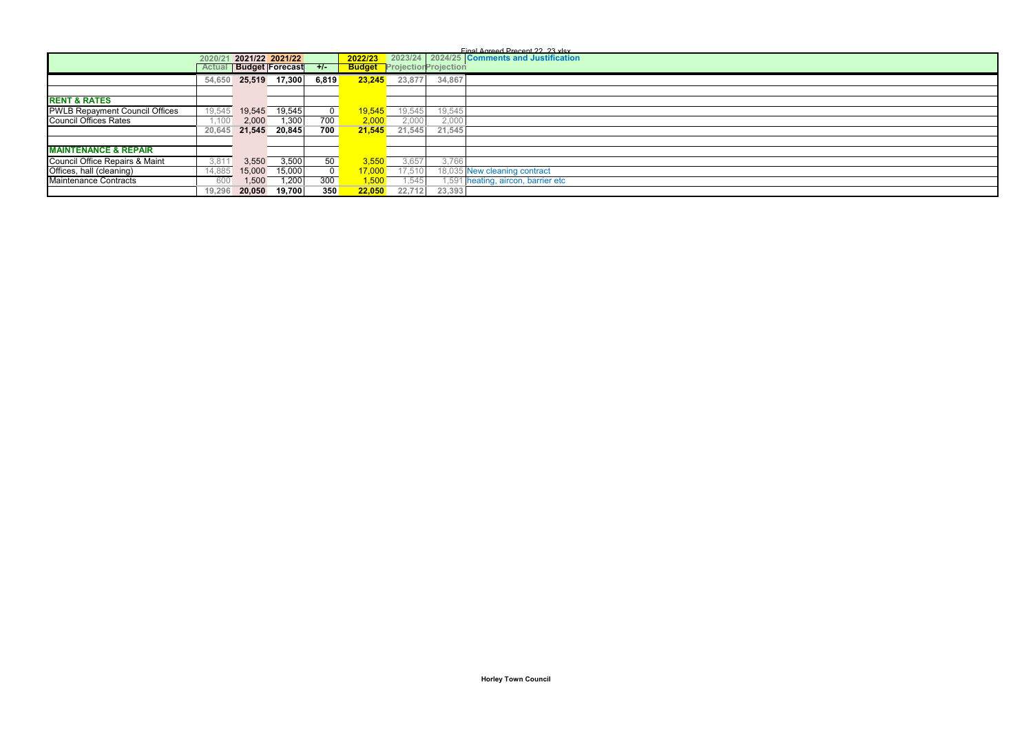|                                       |        |                 |                        |                |         |                                    |        | Einal Agreed Precent 22, 23 viev           |
|---------------------------------------|--------|-----------------|------------------------|----------------|---------|------------------------------------|--------|--------------------------------------------|
|                                       | 2020/2 | 2021/22 2021/22 |                        |                | 2022/23 |                                    |        | 2023/24 2024/25 Comments and Justification |
|                                       | Actual |                 | <b>Budget Forecast</b> | $+/-$          |         | <b>Budget</b> ProjectionProjection |        |                                            |
|                                       | 54,650 | 25,519          | 17,300                 | 6,819          | 23.245  | 23,877                             | 34,867 |                                            |
|                                       |        |                 |                        |                |         |                                    |        |                                            |
| <b>RENT &amp; RATES</b>               |        |                 |                        |                |         |                                    |        |                                            |
| <b>PWLB Repayment Council Offices</b> | 19,545 | 19.545          | 19,545                 | $\overline{0}$ | 19,545  | 19,545                             | 19,545 |                                            |
| <b>Council Offices Rates</b>          | 1.100  | 2,000           | 1,300                  | 700            | 2,000   | 2,000                              | 2,000  |                                            |
|                                       | 20,645 |                 | 21,545 20,845          | 700            | 21.545  | 21,545                             | 21.545 |                                            |
|                                       |        |                 |                        |                |         |                                    |        |                                            |
| <b>MAINTENANCE &amp; REPAIR</b>       |        |                 |                        |                |         |                                    |        |                                            |
| Council Office Repairs & Maint        | 3,81   | 3,550           | 3,500                  | 50             | 3.550   | 3,657                              | 3,766  |                                            |
| Offices, hall (cleaning)              | 14,885 | 15,000          | 15,000                 | $\overline{0}$ | 17,000  | 17,510                             |        | 18,035 New cleaning contract               |
| Maintenance Contracts                 | 600    | 1,500           | 1,200                  | 300            | 1,500   | .545                               |        | 1,591 heating, aircon, barrier etc         |
|                                       | 19.296 | 20.050          | 19,700                 | 350            | 22.050  | 22,712                             | 23,393 |                                            |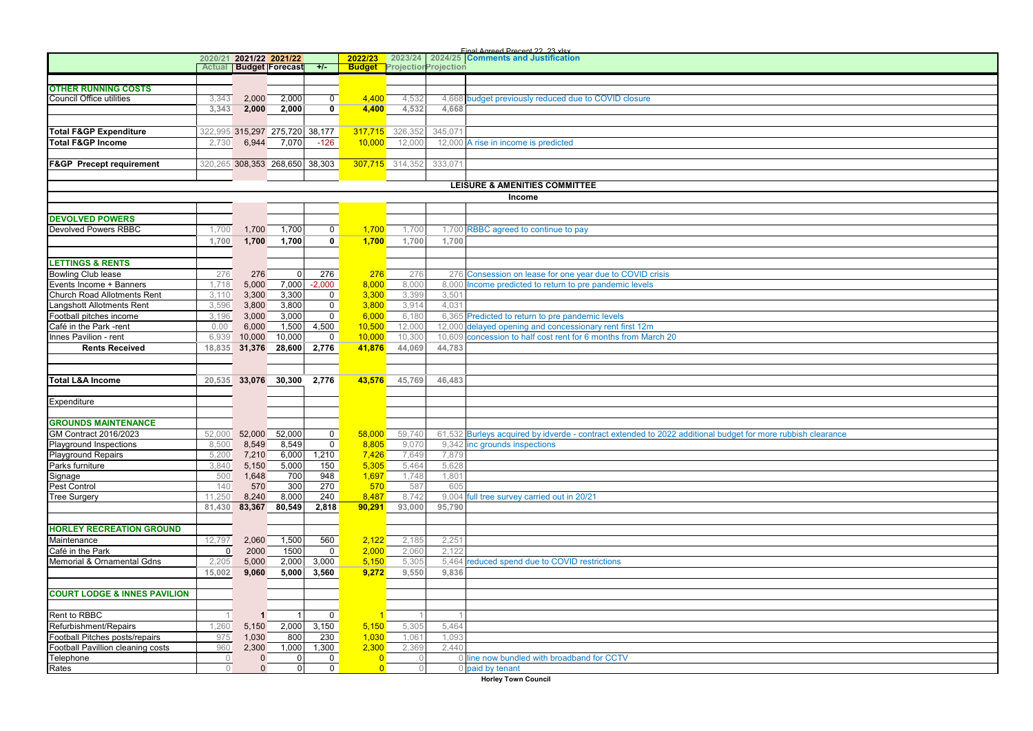|                                                               |                | 2020/21 2021/22 2021/22 |                                |                         | 2022/23        | 2023/24                            |         | 2024/25 Comments and Justification                                                                          |
|---------------------------------------------------------------|----------------|-------------------------|--------------------------------|-------------------------|----------------|------------------------------------|---------|-------------------------------------------------------------------------------------------------------------|
|                                                               |                |                         | <b>Actual Budget Forecast</b>  | $+/-$                   |                | <b>Budget</b> ProjectionProjection |         |                                                                                                             |
|                                                               |                |                         |                                |                         |                |                                    |         |                                                                                                             |
| <b>OTHER RUNNING COSTS</b><br><b>Council Office utilities</b> |                | 2,000                   | 2,000                          | $\overline{0}$          | 4.400          |                                    |         | 4,668 budget previously reduced due to COVID closure                                                        |
|                                                               | 3,343<br>3,343 |                         |                                | $\overline{\mathbf{0}}$ |                | 4,532<br>4,532                     | 4.668   |                                                                                                             |
|                                                               |                | 2,000                   | 2,000                          |                         | 4,400          |                                    |         |                                                                                                             |
|                                                               |                |                         |                                |                         |                |                                    |         |                                                                                                             |
| <b>Total F&amp;GP Expenditure</b>                             |                |                         | 322,995 315,297 275,720 38,177 |                         |                | 317,715 326,352                    | 345,071 |                                                                                                             |
| <b>Total F&amp;GP Income</b>                                  | 2,730          | 6,944                   | 7,070                          | $-126$                  | 10,000         | 12,000                             |         | 12,000 A rise in income is predicted                                                                        |
|                                                               |                |                         |                                |                         |                |                                    |         |                                                                                                             |
| <b>F&amp;GP</b> Precept requirement                           |                |                         | 320,265 308,353 268,650 38,303 |                         |                | 307,715 314,352                    | 333,071 |                                                                                                             |
|                                                               |                |                         |                                |                         |                |                                    |         |                                                                                                             |
|                                                               |                |                         |                                |                         |                |                                    |         | <b>LEISURE &amp; AMENITIES COMMITTEE</b>                                                                    |
|                                                               |                |                         |                                |                         |                |                                    |         | Income                                                                                                      |
|                                                               |                |                         |                                |                         |                |                                    |         |                                                                                                             |
| <b>DEVOLVED POWERS</b>                                        |                |                         |                                |                         |                |                                    |         |                                                                                                             |
| <b>Devolved Powers RBBC</b>                                   | 1,700          | 1,700                   | 1,700                          | $\mathbf{0}$            | 1.700          | 1,700                              |         | 1,700 RBBC agreed to continue to pay                                                                        |
|                                                               | 1,700          | 1,700                   | 1,700                          | $\overline{\mathbf{0}}$ | 1,700          | 1,700                              | 1,700   |                                                                                                             |
|                                                               |                |                         |                                |                         |                |                                    |         |                                                                                                             |
| <b>LETTINGS &amp; RENTS</b>                                   |                |                         |                                |                         |                |                                    |         |                                                                                                             |
| <b>Bowling Club lease</b>                                     | 276            | 276                     | 0                              | 276                     | 276            | 276                                |         | 276 Consession on lease for one year due to COVID crisis                                                    |
| Events Income + Banners                                       | 1,718          | 5,000                   | 7,000                          | $-2,000$                | 8,000          | 8,000                              |         | 8,000 Income predicted to return to pre pandemic levels                                                     |
| Church Road Allotments Rent                                   | 3,110          | 3,300                   | 3,300                          | $\mathbf 0$             | 3,300          | 3,399                              | 3,501   |                                                                                                             |
| Langshott Allotments Rent                                     | 3,596          | 3,800                   | 3,800                          | $\mathbf{0}$            | 3,800          | 3,914                              | 4,031   |                                                                                                             |
|                                                               |                |                         |                                |                         |                |                                    |         |                                                                                                             |
| Football pitches income                                       | 3,196          | 3,000                   | 3,000                          | $\mathsf{O}\xspace$     | 6,000          | 6,180                              |         | 6,365 Predicted to return to pre pandemic levels                                                            |
| Café in the Park -rent                                        | 0.00           | 6,000                   | 1,500                          | 4,500                   | 10,500         | 12,000                             |         | 12,000 delayed opening and concessionary rent first 12m                                                     |
| Innes Pavilion - rent                                         | 6,939          | 10,000                  | 10,000                         | $\mathbf 0$             | 10,000         | 10,300                             |         | 10,609 concession to half cost rent for 6 months from March 20                                              |
| <b>Rents Received</b>                                         |                |                         | 18,835 31,376 28,600 2,776     |                         | 41,876         | 44,069                             | 44,783  |                                                                                                             |
|                                                               |                |                         |                                |                         |                |                                    |         |                                                                                                             |
|                                                               |                |                         |                                |                         |                |                                    |         |                                                                                                             |
| <b>Total L&amp;A Income</b>                                   |                |                         | 20,535 33,076 30,300           | 2,776                   | 43,576         | 45,769                             | 46,483  |                                                                                                             |
|                                                               |                |                         |                                |                         |                |                                    |         |                                                                                                             |
| Expenditure                                                   |                |                         |                                |                         |                |                                    |         |                                                                                                             |
|                                                               |                |                         |                                |                         |                |                                    |         |                                                                                                             |
| <b>GROUNDS MAINTENANCE</b>                                    |                |                         |                                |                         |                |                                    |         |                                                                                                             |
| GM Contract 2016/2023                                         | 52,000         | 52,000                  | 52,000                         | $\mathbf 0$             | 58,000         | 59,740                             |         | 61,532 Burleys acquired by idverde - contract extended to 2022 additional budget for more rubbish clearance |
| Playground Inspections                                        | 8,500          | 8,549                   | 8,549                          | $\overline{0}$          | 8,805          | 9,070                              |         | 9,342 inc grounds inspections                                                                               |
| <b>Playground Repairs</b>                                     | 5,200          | 7,210                   | 6,000                          | 1,210                   | 7,426          | 7,649                              | 7,879   |                                                                                                             |
| Parks furniture                                               | 3,840          | 5,150                   | 5,000                          | 150                     | 5,305          | 5,464                              | 5,628   |                                                                                                             |
| Signage                                                       | 500            | 1,648                   | 700                            | 948                     | 1,697          | 1,748                              | 1,801   |                                                                                                             |
| Pest Control                                                  | 140            | 570                     | 300                            | 270                     | 570            | 587                                | 605     |                                                                                                             |
| <b>Tree Surgery</b>                                           | 11,250         | 8,240                   | 8,000                          | 240                     | 8,487          | 8,742                              |         | 9,004 full tree survey carried out in 20/21                                                                 |
|                                                               | 81,430         | 83,367                  | 80,549                         | 2,818                   | 90,291         | 93,000                             | 95.790  |                                                                                                             |
|                                                               |                |                         |                                |                         |                |                                    |         |                                                                                                             |
| <b>HORLEY RECREATION GROUND</b>                               |                |                         |                                |                         |                |                                    |         |                                                                                                             |
|                                                               |                |                         |                                |                         |                |                                    |         |                                                                                                             |
| Maintenance                                                   | 12,797         | 2,060                   | 1,500                          | 560                     | 2,122          | 2,185                              | 2,251   |                                                                                                             |
| Café in the Park                                              | 0              | 2000                    | 1500                           | $\mathbf 0$             | 2,000          | 2,060                              | 2.122   |                                                                                                             |
| Memorial & Ornamental Gdns                                    | 2,205          | 5,000                   | 2,000                          | 3,000                   | 5,150          | 5,305                              |         | 5,464 reduced spend due to COVID restrictions                                                               |
|                                                               | 15,002         | 9,060                   | 5,000                          | 3,560                   | 9,272          | 9,550                              | 9,836   |                                                                                                             |
|                                                               |                |                         |                                |                         |                |                                    |         |                                                                                                             |
| <b>COURT LODGE &amp; INNES PAVILION</b>                       |                |                         |                                |                         |                |                                    |         |                                                                                                             |
|                                                               |                |                         |                                |                         |                |                                    |         |                                                                                                             |
| Rent to RBBC                                                  | 1              | $\mathbf 1$             | $\mathbf{1}$                   | $\mathbf 0$             |                |                                    |         |                                                                                                             |
| Refurbishment/Repairs                                         | 1,260          | 5,150                   | 2,000                          | 3,150                   | 5,150          | 5,305                              | 5,464   |                                                                                                             |
| Football Pitches posts/repairs                                | 975            | 1,030                   | 800                            | 230                     | 1,030          | 1,061                              | 1,093   |                                                                                                             |
| Football Pavillion cleaning costs                             | 960            | 2,300                   | 1,000                          | 1,300                   | 2,300          | 2,369                              | 2,440   |                                                                                                             |
| Telephone                                                     | $\overline{0}$ | $\mathbf{0}$            | $\overline{0}$                 | $\mathbf 0$             | $\overline{0}$ | $\mathbf 0$                        |         | 0 line now bundled with broadband for CCTV                                                                  |
| Rates                                                         | $\overline{0}$ | $\mathbf{0}$            | $\overline{0}$                 | $\mathbf 0$             | $\overline{0}$ | $\circ$                            |         | 0 paid by tenant                                                                                            |
|                                                               |                |                         |                                |                         |                |                                    |         |                                                                                                             |